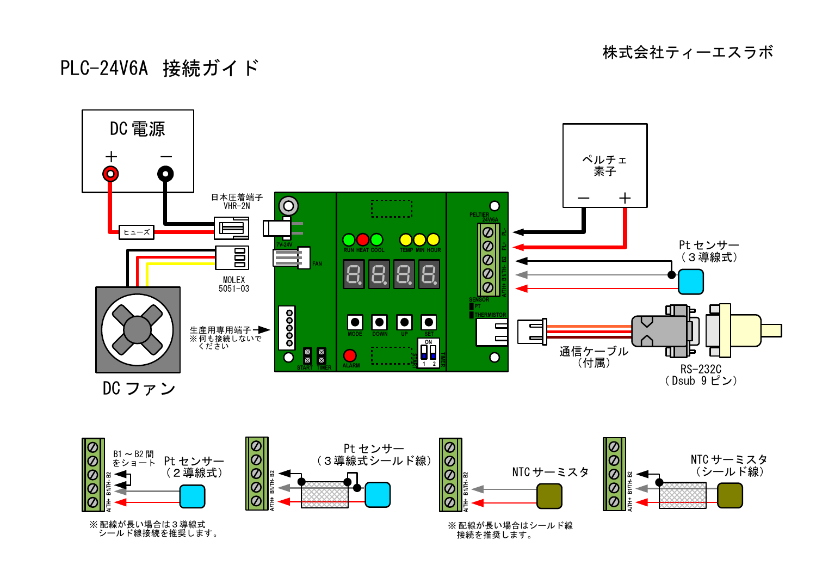株式会社ティーエスラボ

## PLC-24V6A 接続ガイド







※ 配線が長い場合は3導線式 シールド線接続を推奨します。

※ 配線が長い場合はシールド線 接続を推奨します。